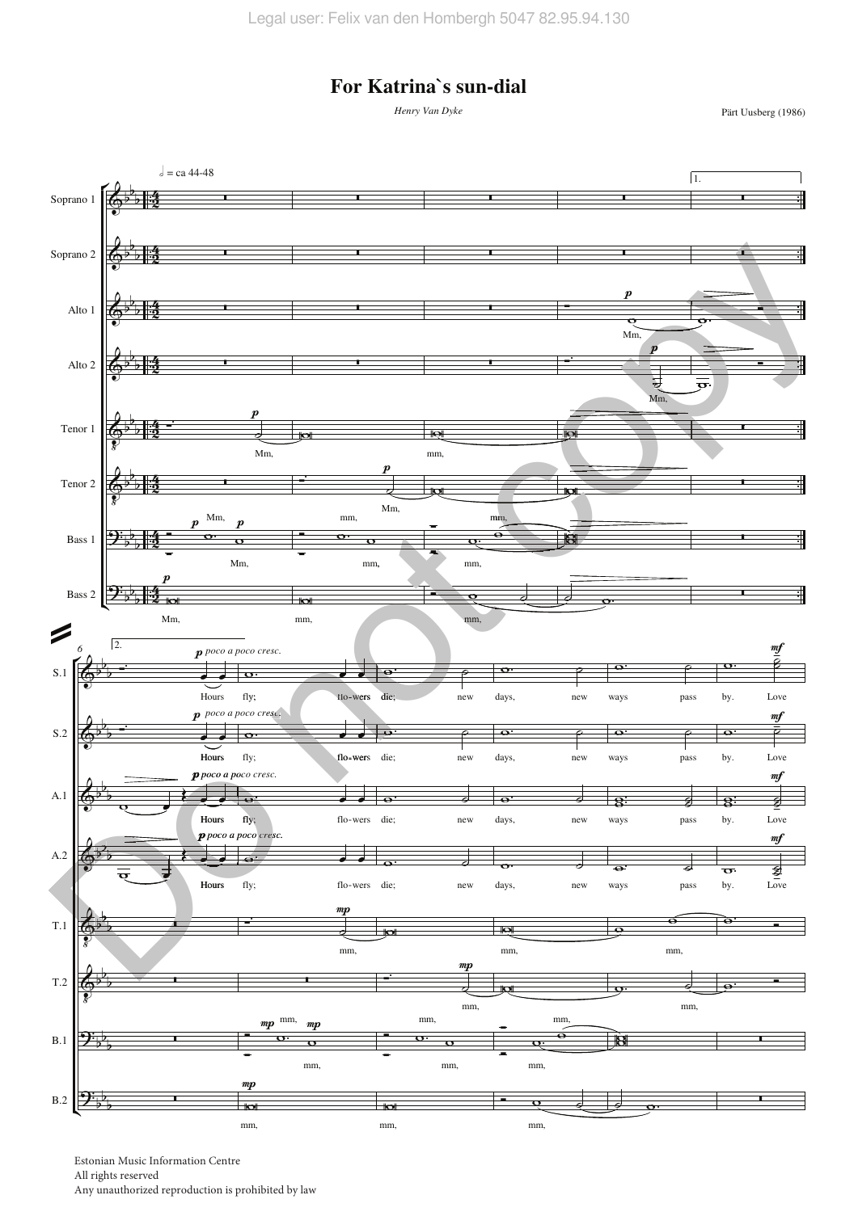## **For Katrina`s sun-dial**

*Henry Van Dyke* Pärt Uusberg (1986)



Estonian Music Information Centre All rights reserved Any unauthorized reproduction is prohibited by law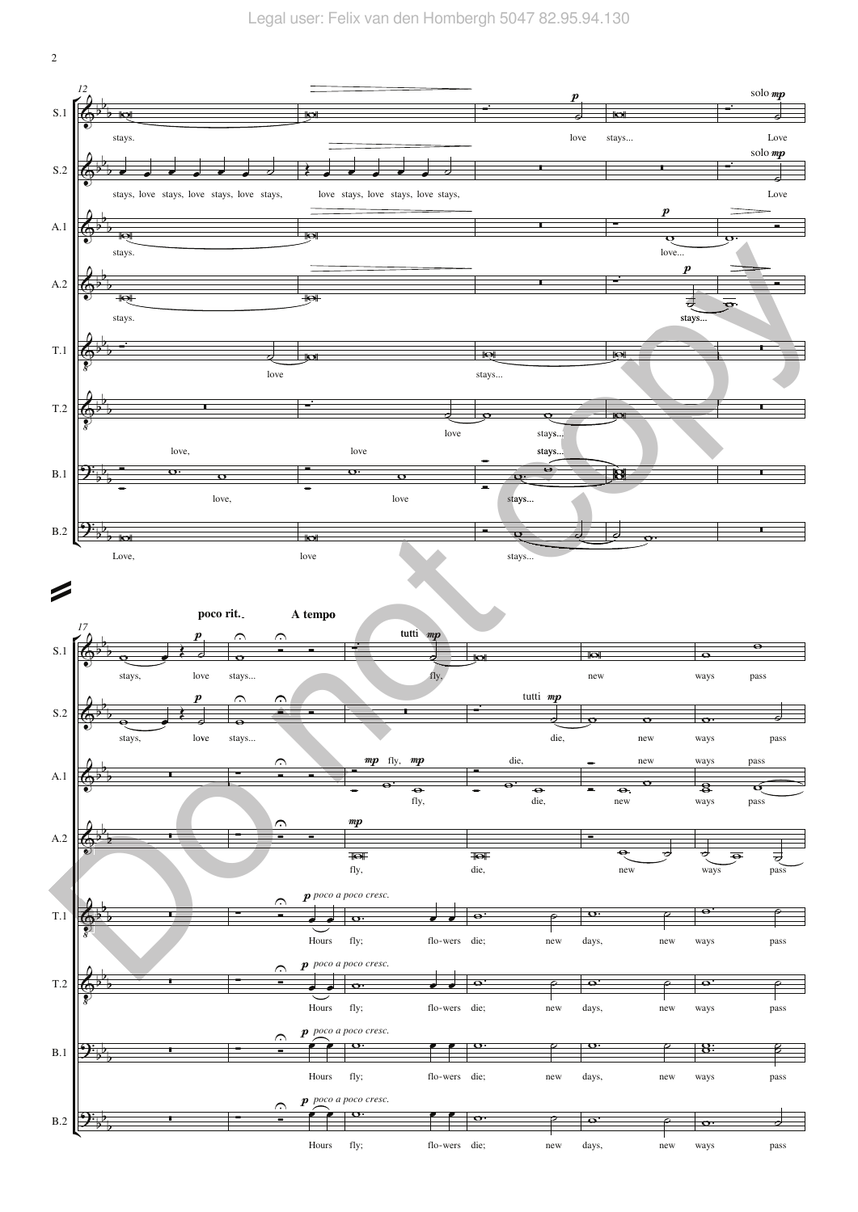

2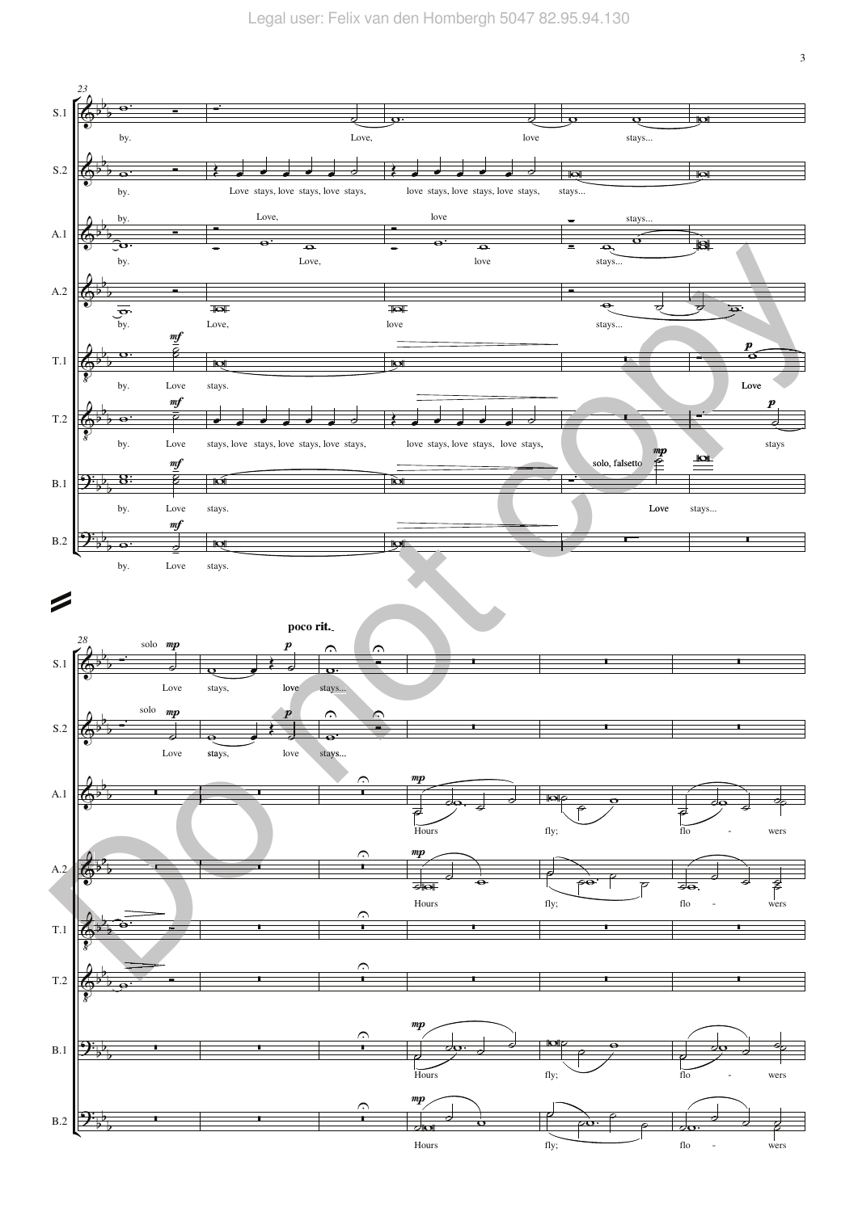